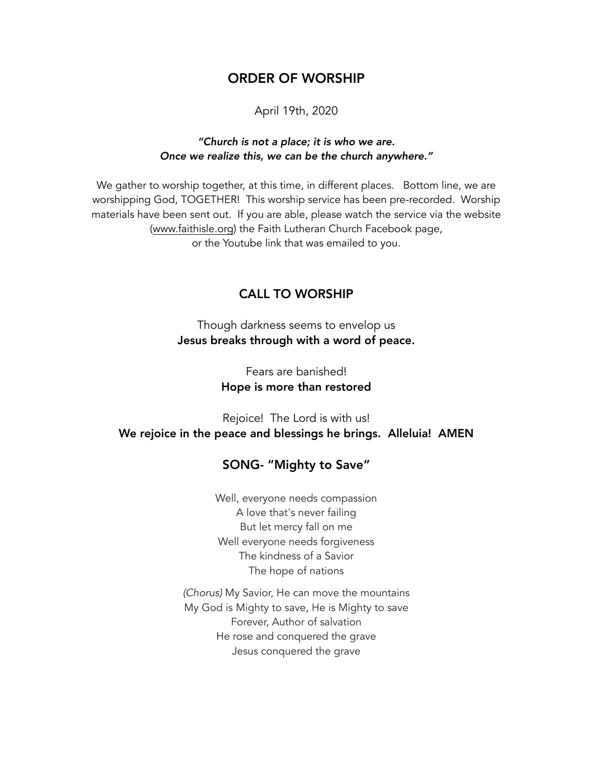## ORDER OF WORSHIP

April 19th, 2020

#### *"Church is not a place; it is who we are. Once we realize this, we can be the church anywhere."*

We gather to worship together, at this time, in different places. Bottom line, we are worshipping God, TOGETHER! This worship service has been pre-recorded. Worship materials have been sent out. If you are able, please watch the service via the website ([www.faithisle.org](http://www.faithisle.org)) the Faith Lutheran Church Facebook page, or the Youtube link that was emailed to you.

## CALL TO WORSHIP

Though darkness seems to envelop us Jesus breaks through with a word of peace.

### Fears are banished! Hope is more than restored

Rejoice! The Lord is with us! We rejoice in the peace and blessings he brings. Alleluia! AMEN

## SONG- "Mighty to Save"

Well, everyone needs compassion A love that's never failing But let mercy fall on me Well everyone needs forgiveness The kindness of a Savior The hope of nations

*(Chorus)* My Savior, He can move the mountains My God is Mighty to save, He is Mighty to save Forever, Author of salvation He rose and conquered the grave Jesus conquered the grave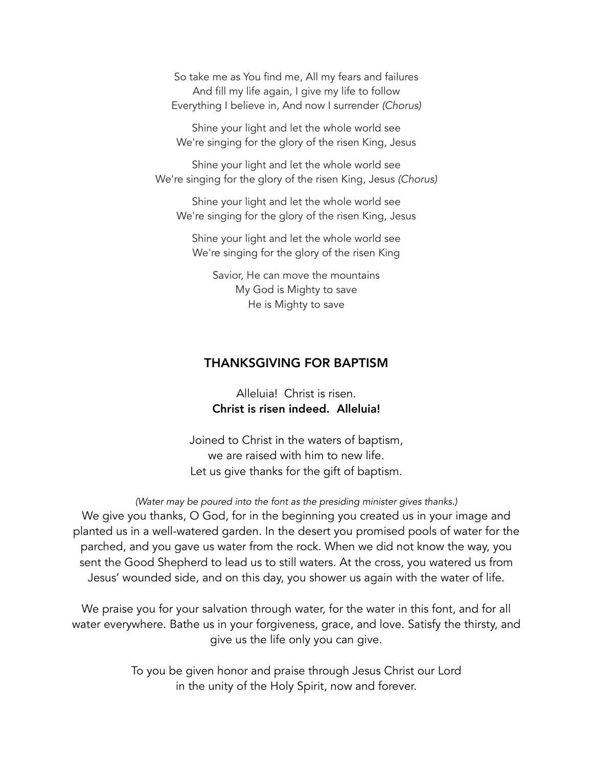So take me as You find me, All my fears and failures And fill my life again, I give my life to follow Everything I believe in, And now I surrender *(Chorus)*

Shine your light and let the whole world see We're singing for the glory of the risen King, Jesus

Shine your light and let the whole world see We're singing for the glory of the risen King, Jesus *(Chorus)*

Shine your light and let the whole world see We're singing for the glory of the risen King, Jesus

Shine your light and let the whole world see We're singing for the glory of the risen King

Savior, He can move the mountains My God is Mighty to save He is Mighty to save

#### THANKSGIVING FOR BAPTISM

Alleluia! Christ is risen. Christ is risen indeed. Alleluia!

Joined to Christ in the waters of baptism, we are raised with him to new life. Let us give thanks for the gift of baptism.

*(Water may be poured into the font as the presiding minister gives thanks.)*  We give you thanks, O God, for in the beginning you created us in your image and planted us in a well-watered garden. In the desert you promised pools of water for the parched, and you gave us water from the rock. When we did not know the way, you sent the Good Shepherd to lead us to still waters. At the cross, you watered us from Jesus' wounded side, and on this day, you shower us again with the water of life.

We praise you for your salvation through water, for the water in this font, and for all water everywhere. Bathe us in your forgiveness, grace, and love. Satisfy the thirsty, and give us the life only you can give.

> To you be given honor and praise through Jesus Christ our Lord in the unity of the Holy Spirit, now and forever.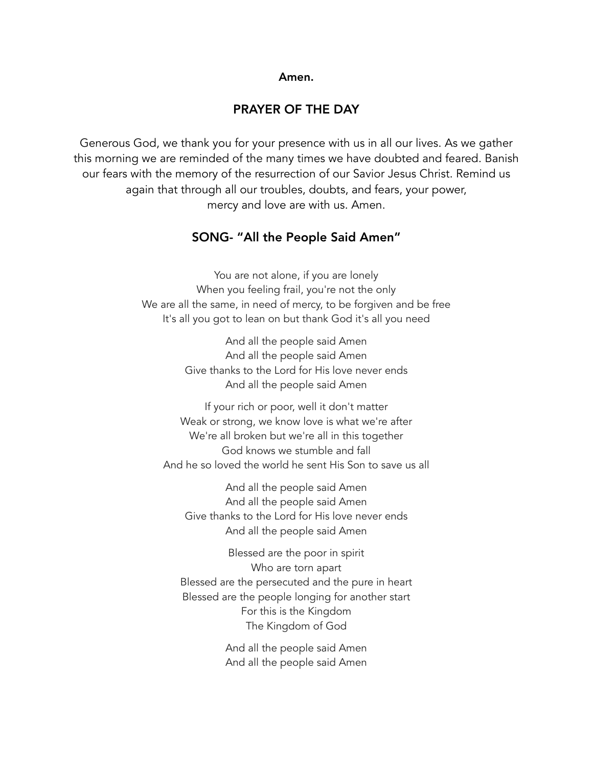#### Amen.

### PRAYER OF THE DAY

Generous God, we thank you for your presence with us in all our lives. As we gather this morning we are reminded of the many times we have doubted and feared. Banish our fears with the memory of the resurrection of our Savior Jesus Christ. Remind us again that through all our troubles, doubts, and fears, your power, mercy and love are with us. Amen.

#### SONG- "All the People Said Amen"

You are not alone, if you are lonely When you feeling frail, you're not the only We are all the same, in need of mercy, to be forgiven and be free It's all you got to lean on but thank God it's all you need

> And all the people said Amen And all the people said Amen Give thanks to the Lord for His love never ends And all the people said Amen

If your rich or poor, well it don't matter Weak or strong, we know love is what we're after We're all broken but we're all in this together God knows we stumble and fall And he so loved the world he sent His Son to save us all

And all the people said Amen And all the people said Amen Give thanks to the Lord for His love never ends And all the people said Amen

Blessed are the poor in spirit Who are torn apart Blessed are the persecuted and the pure in heart Blessed are the people longing for another start For this is the Kingdom The Kingdom of God

> And all the people said Amen And all the people said Amen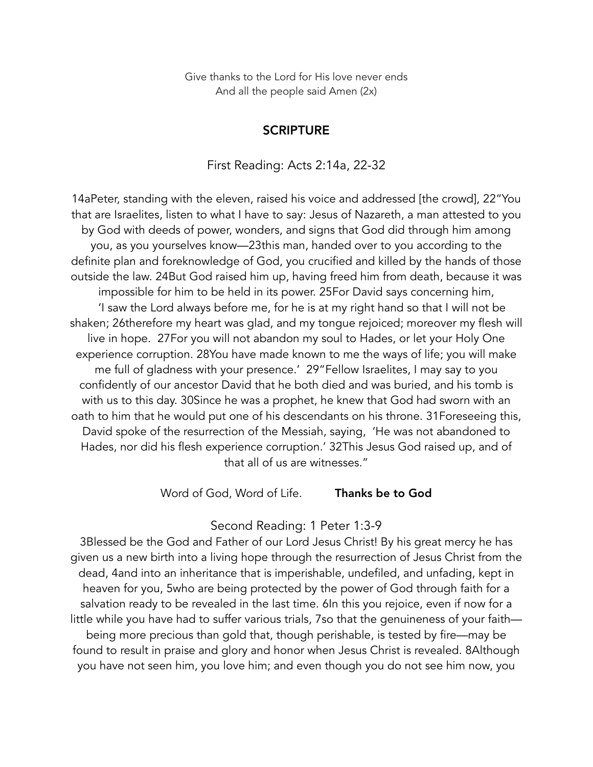Give thanks to the Lord for His love never ends And all the people said Amen (2x)

### **SCRIPTURE**

#### First Reading: Acts 2:14a, 22-32

14aPeter, standing with the eleven, raised his voice and addressed [the crowd], 22"You that are Israelites, listen to what I have to say: Jesus of Nazareth, a man attested to you by God with deeds of power, wonders, and signs that God did through him among you, as you yourselves know—23this man, handed over to you according to the definite plan and foreknowledge of God, you crucified and killed by the hands of those outside the law. 24But God raised him up, having freed him from death, because it was impossible for him to be held in its power. 25For David says concerning him, 'I saw the Lord always before me, for he is at my right hand so that I will not be shaken; 26therefore my heart was glad, and my tongue rejoiced; moreover my flesh will live in hope. 27For you will not abandon my soul to Hades, or let your Holy One experience corruption. 28You have made known to me the ways of life; you will make me full of gladness with your presence.' 29"Fellow Israelites, I may say to you confidently of our ancestor David that he both died and was buried, and his tomb is with us to this day. 30Since he was a prophet, he knew that God had sworn with an oath to him that he would put one of his descendants on his throne. 31Foreseeing this, David spoke of the resurrection of the Messiah, saying, 'He was not abandoned to Hades, nor did his flesh experience corruption.' 32This Jesus God raised up, and of that all of us are witnesses."

Word of God, Word of Life. Thanks be to God

#### Second Reading: 1 Peter 1:3-9

3Blessed be the God and Father of our Lord Jesus Christ! By his great mercy he has given us a new birth into a living hope through the resurrection of Jesus Christ from the dead, 4and into an inheritance that is imperishable, undefiled, and unfading, kept in heaven for you, 5who are being protected by the power of God through faith for a salvation ready to be revealed in the last time. 6In this you rejoice, even if now for a little while you have had to suffer various trials, 7so that the genuineness of your faith being more precious than gold that, though perishable, is tested by fire—may be found to result in praise and glory and honor when Jesus Christ is revealed. 8Although you have not seen him, you love him; and even though you do not see him now, you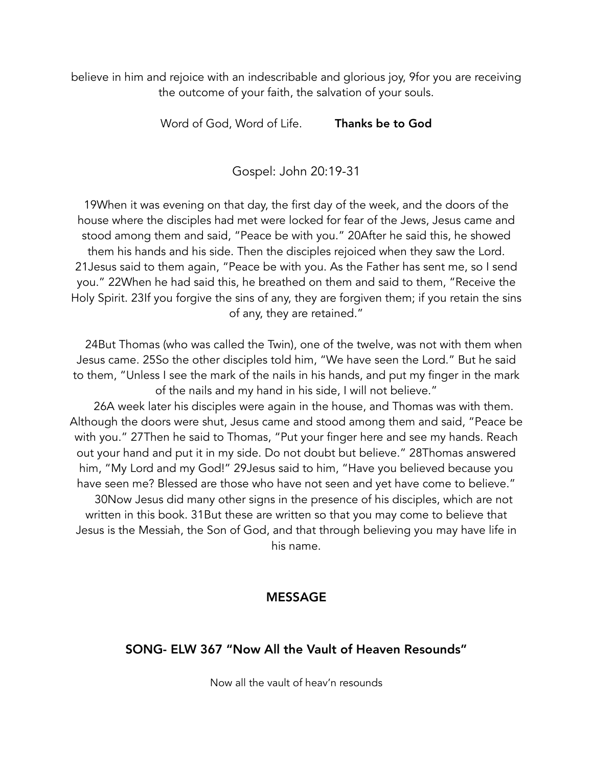believe in him and rejoice with an indescribable and glorious joy, 9for you are receiving the outcome of your faith, the salvation of your souls.

Word of God, Word of Life. Thanks be to God

Gospel: John 20:19-31

19When it was evening on that day, the first day of the week, and the doors of the house where the disciples had met were locked for fear of the Jews, Jesus came and stood among them and said, "Peace be with you." 20After he said this, he showed them his hands and his side. Then the disciples rejoiced when they saw the Lord. 21Jesus said to them again, "Peace be with you. As the Father has sent me, so I send you." 22When he had said this, he breathed on them and said to them, "Receive the Holy Spirit. 23If you forgive the sins of any, they are forgiven them; if you retain the sins of any, they are retained."

 24But Thomas (who was called the Twin), one of the twelve, was not with them when Jesus came. 25So the other disciples told him, "We have seen the Lord." But he said to them, "Unless I see the mark of the nails in his hands, and put my finger in the mark of the nails and my hand in his side, I will not believe."

 26A week later his disciples were again in the house, and Thomas was with them. Although the doors were shut, Jesus came and stood among them and said, "Peace be with you." 27Then he said to Thomas, "Put your finger here and see my hands. Reach out your hand and put it in my side. Do not doubt but believe." 28Thomas answered him, "My Lord and my God!" 29Jesus said to him, "Have you believed because you have seen me? Blessed are those who have not seen and yet have come to believe." 30Now Jesus did many other signs in the presence of his disciples, which are not written in this book. 31But these are written so that you may come to believe that Jesus is the Messiah, the Son of God, and that through believing you may have life in his name.

# MESSAGE

# SONG- ELW 367 "Now All the Vault of Heaven Resounds"

Now all the vault of heav'n resounds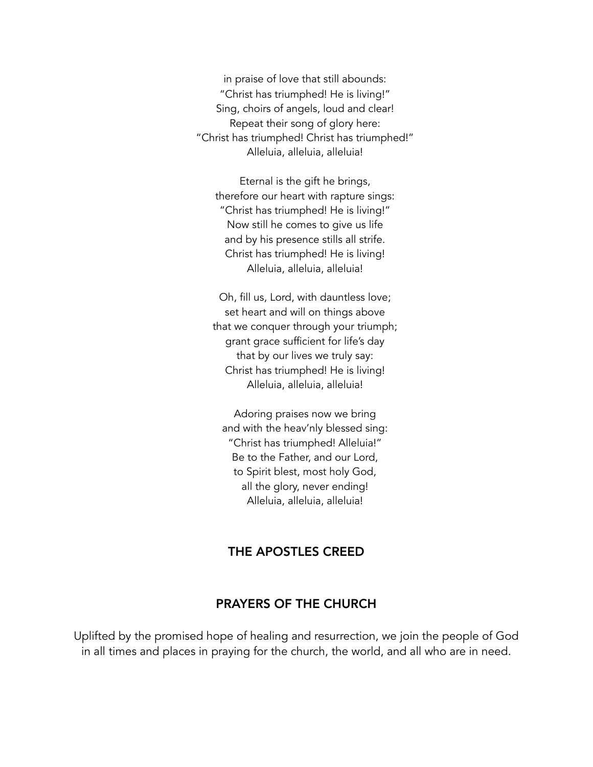in praise of love that still abounds: "Christ has triumphed! He is living!" Sing, choirs of angels, loud and clear! Repeat their song of glory here: "Christ has triumphed! Christ has triumphed!" Alleluia, alleluia, alleluia!

 Eternal is the gift he brings, therefore our heart with rapture sings: "Christ has triumphed! He is living!" Now still he comes to give us life and by his presence stills all strife. Christ has triumphed! He is living! Alleluia, alleluia, alleluia!

 Oh, fill us, Lord, with dauntless love; set heart and will on things above that we conquer through your triumph; grant grace sufficient for life's day that by our lives we truly say: Christ has triumphed! He is living! Alleluia, alleluia, alleluia!

 Adoring praises now we bring and with the heav'nly blessed sing: "Christ has triumphed! Alleluia!" Be to the Father, and our Lord, to Spirit blest, most holy God, all the glory, never ending! Alleluia, alleluia, alleluia!

### THE APOSTLES CREED

#### PRAYERS OF THE CHURCH

Uplifted by the promised hope of healing and resurrection, we join the people of God in all times and places in praying for the church, the world, and all who are in need.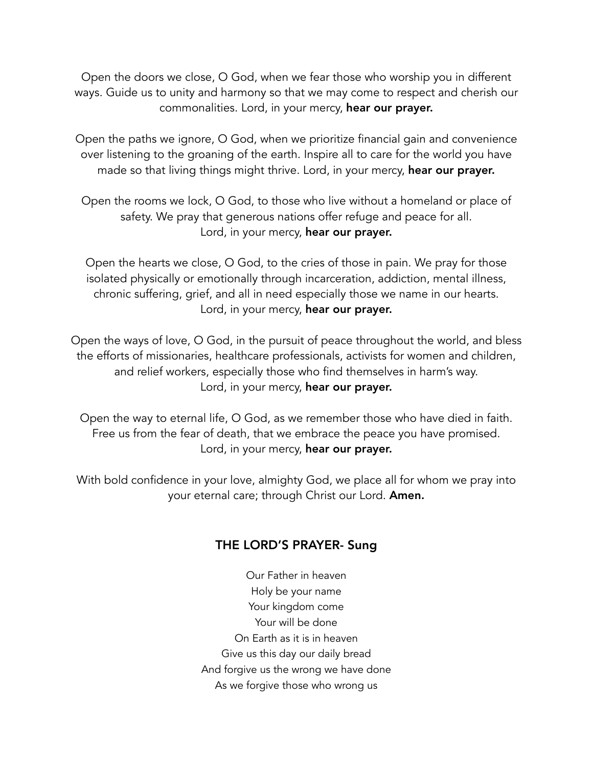Open the doors we close, O God, when we fear those who worship you in different ways. Guide us to unity and harmony so that we may come to respect and cherish our commonalities. Lord, in your mercy, hear our prayer.

Open the paths we ignore, O God, when we prioritize financial gain and convenience over listening to the groaning of the earth. Inspire all to care for the world you have made so that living things might thrive. Lord, in your mercy, hear our prayer.

Open the rooms we lock, O God, to those who live without a homeland or place of safety. We pray that generous nations offer refuge and peace for all. Lord, in your mercy, hear our prayer.

Open the hearts we close, O God, to the cries of those in pain. We pray for those isolated physically or emotionally through incarceration, addiction, mental illness, chronic suffering, grief, and all in need especially those we name in our hearts. Lord, in your mercy, hear our prayer.

Open the ways of love, O God, in the pursuit of peace throughout the world, and bless the efforts of missionaries, healthcare professionals, activists for women and children, and relief workers, especially those who find themselves in harm's way. Lord, in your mercy, hear our prayer.

Open the way to eternal life, O God, as we remember those who have died in faith. Free us from the fear of death, that we embrace the peace you have promised. Lord, in your mercy, hear our prayer.

With bold confidence in your love, almighty God, we place all for whom we pray into your eternal care; through Christ our Lord. Amen.

# THE LORD'S PRAYER- Sung

Our Father in heaven Holy be your name Your kingdom come Your will be done On Earth as it is in heaven Give us this day our daily bread And forgive us the wrong we have done As we forgive those who wrong us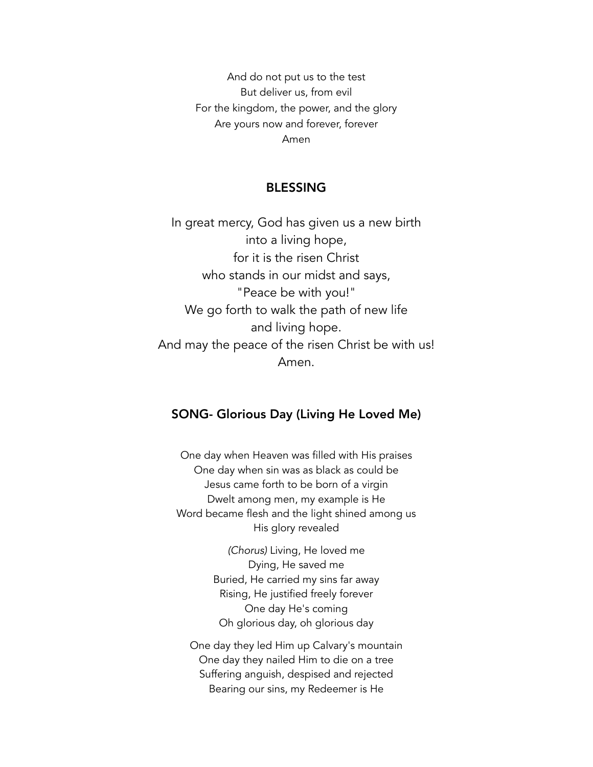And do not put us to the test But deliver us, from evil For the kingdom, the power, and the glory Are yours now and forever, forever Amen

#### BLESSING

In great mercy, God has given us a new birth into a living hope, for it is the risen Christ who stands in our midst and says, "Peace be with you!" We go forth to walk the path of new life and living hope. And may the peace of the risen Christ be with us! Amen.

#### SONG- Glorious Day (Living He Loved Me)

One day when Heaven was filled with His praises One day when sin was as black as could be Jesus came forth to be born of a virgin Dwelt among men, my example is He Word became flesh and the light shined among us His glory revealed

> *(Chorus)* Living, He loved me Dying, He saved me Buried, He carried my sins far away Rising, He justified freely forever One day He's coming Oh glorious day, oh glorious day

One day they led Him up Calvary's mountain One day they nailed Him to die on a tree Suffering anguish, despised and rejected Bearing our sins, my Redeemer is He